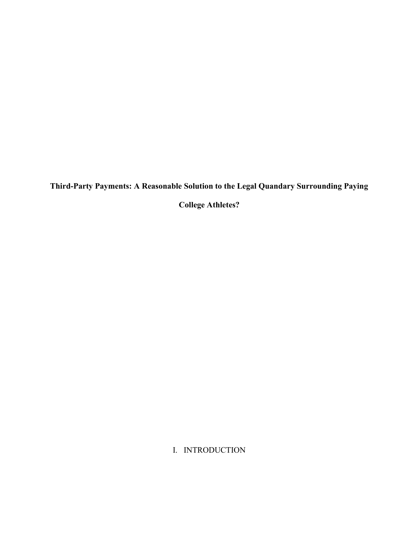Third-Party Payments: A Reasonable Solution to the Legal Quandary Surrounding Paying

College Athletes?

I. INTRODUCTION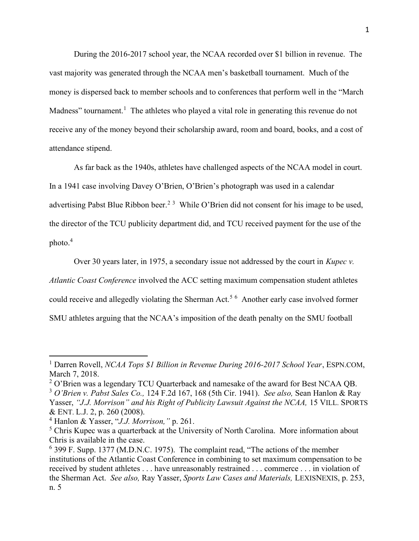During the 2016-2017 school year, the NCAA recorded over \$1 billion in revenue. The vast majority was generated through the NCAA men's basketball tournament. Much of the money is dispersed back to member schools and to conferences that perform well in the "March Madness" tournament.<sup>1</sup> The athletes who played a vital role in generating this revenue do not receive any of the money beyond their scholarship award, room and board, books, and a cost of attendance stipend.

As far back as the 1940s, athletes have challenged aspects of the NCAA model in court. In a 1941 case involving Davey O'Brien, O'Brien's photograph was used in a calendar advertising Pabst Blue Ribbon beer.<sup>2 3</sup> While O'Brien did not consent for his image to be used, the director of the TCU publicity department did, and TCU received payment for the use of the photo.<sup>4</sup>

Over 30 years later, in 1975, a secondary issue not addressed by the court in Kupec  $v$ . Atlantic Coast Conference involved the ACC setting maximum compensation student athletes could receive and allegedly violating the Sherman Act.<sup>56</sup> Another early case involved former SMU athletes arguing that the NCAA's imposition of the death penalty on the SMU football

<sup>&</sup>lt;sup>1</sup> Darren Rovell, *NCAA Tops \$1 Billion in Revenue During 2016-2017 School Year*, ESPN.COM, March 7, 2018.

 $2$  O'Brien was a legendary TCU Quarterback and namesake of the award for Best NCAA QB.  $3$  O'Brien v. Pabst Sales Co., 124 F.2d 167, 168 (5th Cir. 1941). See also, Sean Hanlon & Ray Yasser, "J.J. Morrison" and his Right of Publicity Lawsuit Against the NCAA, 15 VILL. SPORTS & ENT. L.J. 2, p. 260 (2008).

<sup>4</sup> Hanlon & Yasser, "J.J. Morrison," p. 261.

<sup>&</sup>lt;sup>5</sup> Chris Kupec was a quarterback at the University of North Carolina. More information about Chris is available in the case.

<sup>&</sup>lt;sup>6</sup> 399 F. Supp. 1377 (M.D.N.C. 1975). The complaint read, "The actions of the member institutions of the Atlantic Coast Conference in combining to set maximum compensation to be received by student athletes . . . have unreasonably restrained . . . commerce . . . in violation of the Sherman Act. See also, Ray Yasser, Sports Law Cases and Materials, LEXISNEXIS, p. 253, n. 5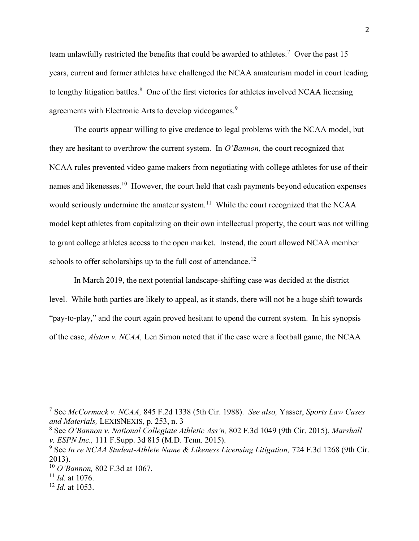team unlawfully restricted the benefits that could be awarded to athletes.<sup>7</sup> Over the past 15 years, current and former athletes have challenged the NCAA amateurism model in court leading to lengthy litigation battles.<sup>8</sup> One of the first victories for athletes involved NCAA licensing agreements with Electronic Arts to develop videogames.<sup>9</sup>

The courts appear willing to give credence to legal problems with the NCAA model, but they are hesitant to overthrow the current system. In  $O'Bannon$ , the court recognized that NCAA rules prevented video game makers from negotiating with college athletes for use of their names and likenesses.<sup>10</sup> However, the court held that cash payments beyond education expenses would seriously undermine the amateur system.<sup>11</sup> While the court recognized that the NCAA model kept athletes from capitalizing on their own intellectual property, the court was not willing to grant college athletes access to the open market. Instead, the court allowed NCAA member schools to offer scholarships up to the full cost of attendance.<sup>12</sup>

In March 2019, the next potential landscape-shifting case was decided at the district level. While both parties are likely to appeal, as it stands, there will not be a huge shift towards "pay-to-play," and the court again proved hesitant to upend the current system. In his synopsis of the case, Alston v. NCAA, Len Simon noted that if the case were a football game, the NCAA

<sup>&</sup>lt;sup>7</sup> See McCormack v. NCAA, 845 F.2d 1338 (5th Cir. 1988). See also, Yasser, Sports Law Cases and Materials, LEXISNEXIS, p. 253, n. 3

 $8$  See O'Bannon v. National Collegiate Athletic Ass'n, 802 F.3d 1049 (9th Cir. 2015), Marshall v. ESPN Inc., 111 F.Supp. 3d 815 (M.D. Tenn. 2015).

<sup>&</sup>lt;sup>9</sup> See In re NCAA Student-Athlete Name & Likeness Licensing Litigation, 724 F.3d 1268 (9th Cir. 2013).

 $10$  O'Bannon, 802 F.3d at 1067.

 $11$  *Id.* at 1076.

 $12$  *Id.* at 1053.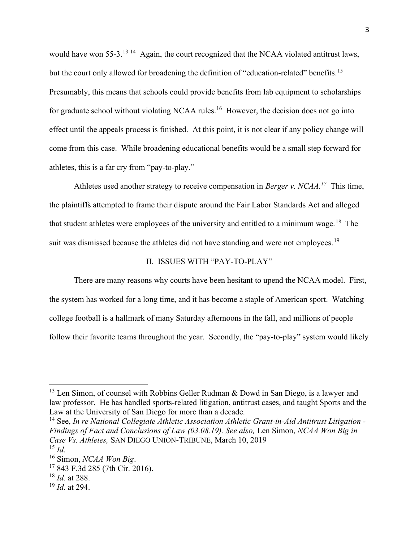would have won 55-3.<sup>13 14</sup> Again, the court recognized that the NCAA violated antitrust laws, but the court only allowed for broadening the definition of "education-related" benefits.<sup>15</sup> Presumably, this means that schools could provide benefits from lab equipment to scholarships for graduate school without violating NCAA rules.<sup>16</sup> However, the decision does not go into effect until the appeals process is finished. At this point, it is not clear if any policy change will come from this case. While broadening educational benefits would be a small step forward for athletes, this is a far cry from "pay-to-play."

Athletes used another strategy to receive compensation in Berger v. NCAA.<sup>17</sup> This time, the plaintiffs attempted to frame their dispute around the Fair Labor Standards Act and alleged that student athletes were employees of the university and entitled to a minimum wage.<sup>18</sup> The suit was dismissed because the athletes did not have standing and were not employees.<sup>19</sup>

# II. ISSUES WITH "PAY-TO-PLAY"

 There are many reasons why courts have been hesitant to upend the NCAA model. First, the system has worked for a long time, and it has become a staple of American sport. Watching college football is a hallmark of many Saturday afternoons in the fall, and millions of people follow their favorite teams throughout the year. Secondly, the "pay-to-play" system would likely

<sup>14</sup> See, In re National Collegiate Athletic Association Athletic Grant-in-Aid Antitrust Litigation -Findings of Fact and Conclusions of Law (03.08.19). See also, Len Simon, NCAA Won Big in Case Vs. Athletes, SAN DIEGO UNION-TRIBUNE, March 10, 2019  $^{15}$  *Id.* 

<sup>&</sup>lt;sup>13</sup> Len Simon, of counsel with Robbins Geller Rudman & Dowd in San Diego, is a lawyer and law professor. He has handled sports-related litigation, antitrust cases, and taught Sports and the Law at the University of San Diego for more than a decade.

 $16$  Simon, *NCAA Won Big.* 

<sup>17</sup> 843 F.3d 285 (7th Cir. 2016).

 $18$  *Id.* at 288.

 $19$  *Id.* at 294.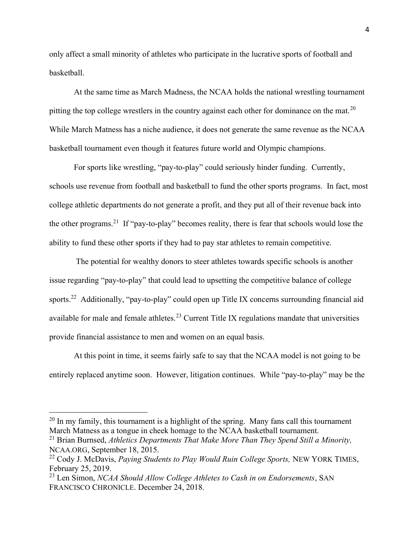only affect a small minority of athletes who participate in the lucrative sports of football and basketball.

At the same time as March Madness, the NCAA holds the national wrestling tournament pitting the top college wrestlers in the country against each other for dominance on the mat.<sup>20</sup> While March Matness has a niche audience, it does not generate the same revenue as the NCAA basketball tournament even though it features future world and Olympic champions.

 For sports like wrestling, "pay-to-play" could seriously hinder funding. Currently, schools use revenue from football and basketball to fund the other sports programs. In fact, most college athletic departments do not generate a profit, and they put all of their revenue back into the other programs.<sup>21</sup> If "pay-to-play" becomes reality, there is fear that schools would lose the ability to fund these other sports if they had to pay star athletes to remain competitive.

 The potential for wealthy donors to steer athletes towards specific schools is another issue regarding "pay-to-play" that could lead to upsetting the competitive balance of college sports.<sup>22</sup> Additionally, "pay-to-play" could open up Title IX concerns surrounding financial aid available for male and female athletes.<sup>23</sup> Current Title IX regulations mandate that universities provide financial assistance to men and women on an equal basis.

 At this point in time, it seems fairly safe to say that the NCAA model is not going to be entirely replaced anytime soon. However, litigation continues. While "pay-to-play" may be the

 $^{20}$  In my family, this tournament is a highlight of the spring. Many fans call this tournament March Matness as a tongue in cheek homage to the NCAA basketball tournament.

 $21$  Brian Burnsed, Athletics Departments That Make More Than They Spend Still a Minority, NCAA.ORG, September 18, 2015.

<sup>&</sup>lt;sup>22</sup> Cody J. McDavis, Paying Students to Play Would Ruin College Sports, NEW YORK TIMES, February 25, 2019.

 $^{23}$  Len Simon, NCAA Should Allow College Athletes to Cash in on Endorsements, SAN FRANCISCO CHRONICLE. December 24, 2018.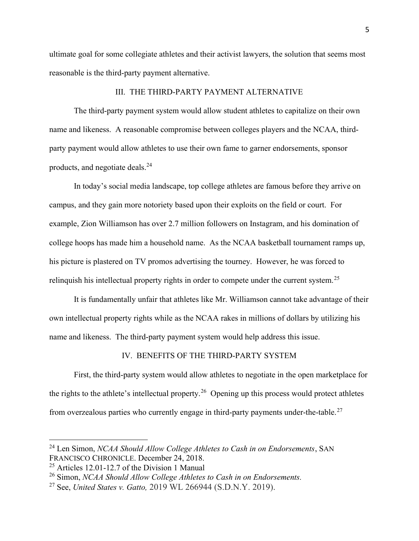ultimate goal for some collegiate athletes and their activist lawyers, the solution that seems most reasonable is the third-party payment alternative.

## III. THE THIRD-PARTY PAYMENT ALTERNATIVE

 The third-party payment system would allow student athletes to capitalize on their own name and likeness. A reasonable compromise between colleges players and the NCAA, thirdparty payment would allow athletes to use their own fame to garner endorsements, sponsor products, and negotiate deals.<sup>24</sup>

In today's social media landscape, top college athletes are famous before they arrive on campus, and they gain more notoriety based upon their exploits on the field or court. For example, Zion Williamson has over 2.7 million followers on Instagram, and his domination of college hoops has made him a household name. As the NCAA basketball tournament ramps up, his picture is plastered on TV promos advertising the tourney. However, he was forced to relinquish his intellectual property rights in order to compete under the current system.<sup>25</sup>

It is fundamentally unfair that athletes like Mr. Williamson cannot take advantage of their own intellectual property rights while as the NCAA rakes in millions of dollars by utilizing his name and likeness. The third-party payment system would help address this issue.

### IV. BENEFITS OF THE THIRD-PARTY SYSTEM

First, the third-party system would allow athletes to negotiate in the open marketplace for the rights to the athlete's intellectual property.<sup>26</sup> Opening up this process would protect athletes from overzealous parties who currently engage in third-party payments under-the-table.<sup>27</sup>

<sup>&</sup>lt;sup>24</sup> Len Simon, *NCAA Should Allow College Athletes to Cash in on Endorsements*, SAN FRANCISCO CHRONICLE. December 24, 2018.

<sup>25</sup> Articles 12.01-12.7 of the Division 1 Manual

 $26$  Simon, NCAA Should Allow College Athletes to Cash in on Endorsements.

<sup>&</sup>lt;sup>27</sup> See, United States v. Gatto,  $2019$  WL 266944 (S.D.N.Y. 2019).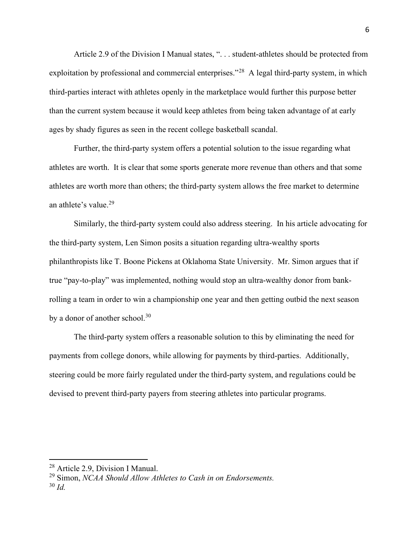Article 2.9 of the Division I Manual states, ". . . student-athletes should be protected from exploitation by professional and commercial enterprises."<sup>28</sup> A legal third-party system, in which third-parties interact with athletes openly in the marketplace would further this purpose better than the current system because it would keep athletes from being taken advantage of at early ages by shady figures as seen in the recent college basketball scandal.

Further, the third-party system offers a potential solution to the issue regarding what athletes are worth. It is clear that some sports generate more revenue than others and that some athletes are worth more than others; the third-party system allows the free market to determine an athlete's value.<sup>29</sup>

Similarly, the third-party system could also address steering. In his article advocating for the third-party system, Len Simon posits a situation regarding ultra-wealthy sports philanthropists like T. Boone Pickens at Oklahoma State University. Mr. Simon argues that if true "pay-to-play" was implemented, nothing would stop an ultra-wealthy donor from bankrolling a team in order to win a championship one year and then getting outbid the next season by a donor of another school.<sup>30</sup>

The third-party system offers a reasonable solution to this by eliminating the need for payments from college donors, while allowing for payments by third-parties. Additionally, steering could be more fairly regulated under the third-party system, and regulations could be devised to prevent third-party payers from steering athletes into particular programs.

<sup>28</sup> Article 2.9, Division I Manual.

 $29$  Simon, NCAA Should Allow Athletes to Cash in on Endorsements.  $30$  Id.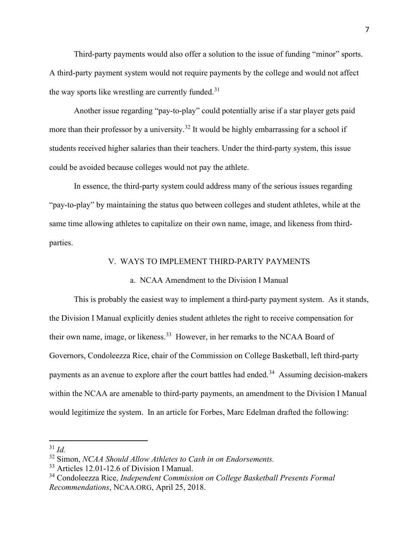Third-party payments would also offer a solution to the issue of funding "minor" sports. A third-party payment system would not require payments by the college and would not affect the way sports like wrestling are currently funded.<sup>31</sup>

Another issue regarding "pay-to-play" could potentially arise if a star player gets paid more than their professor by a university.<sup>32</sup> It would be highly embarrassing for a school if students received higher salaries than their teachers. Under the third-party system, this issue could be avoided because colleges would not pay the athlete.

In essence, the third-party system could address many of the serious issues regarding "pay-to-play" by maintaining the status quo between colleges and student athletes, while at the same time allowing athletes to capitalize on their own name, image, and likeness from thirdparties.

#### V. WAYS TO IMPLEMENT THIRD-PARTY PAYMENTS

#### a. NCAA Amendment to the Division I Manual

 This is probably the easiest way to implement a third-party payment system. As it stands, the Division I Manual explicitly denies student athletes the right to receive compensation for their own name, image, or likeness.<sup>33</sup> However, in her remarks to the NCAA Board of Governors, Condoleezza Rice, chair of the Commission on College Basketball, left third-party payments as an avenue to explore after the court battles had ended.<sup>34</sup> Assuming decision-makers within the NCAA are amenable to third-party payments, an amendment to the Division I Manual would legitimize the system. In an article for Forbes, Marc Edelman drafted the following:

 $31$  Id.

 $32$  Simon, NCAA Should Allow Athletes to Cash in on Endorsements.

<sup>33</sup> Articles 12.01-12.6 of Division I Manual.

<sup>&</sup>lt;sup>34</sup> Condoleezza Rice, *Independent Commission on College Basketball Presents Formal* Recommendations, NCAA.ORG, April 25, 2018.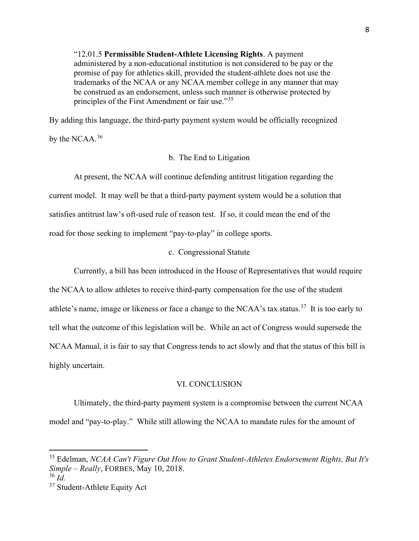"12.01.5 Permissible Student-Athlete Licensing Rights. A payment administered by a non-educational institution is not considered to be pay or the promise of pay for athletics skill, provided the student-athlete does not use the trademarks of the NCAA or any NCAA member college in any manner that may be construed as an endorsement, unless such manner is otherwise protected by principles of the First Amendment or fair use."<sup>35</sup>

By adding this language, the third-party payment system would be officially recognized by the NCAA. $36$ 

# b. The End to Litigation

 At present, the NCAA will continue defending antitrust litigation regarding the current model. It may well be that a third-party payment system would be a solution that satisfies antitrust law's oft-used rule of reason test. If so, it could mean the end of the road for those seeking to implement "pay-to-play" in college sports.

### c. Congressional Statute

 Currently, a bill has been introduced in the House of Representatives that would require the NCAA to allow athletes to receive third-party compensation for the use of the student athlete's name, image or likeness or face a change to the NCAA's tax status.<sup>37</sup> It is too early to tell what the outcome of this legislation will be. While an act of Congress would supersede the NCAA Manual, it is fair to say that Congress tends to act slowly and that the status of this bill is highly uncertain.

#### VI. CONCLUSION

 Ultimately, the third-party payment system is a compromise between the current NCAA model and "pay-to-play." While still allowing the NCAA to mandate rules for the amount of

 $35$  Edelman, NCAA Can't Figure Out How to Grant Student-Athletes Endorsement Rights, But It's Simple – Really, FORBES, May 10, 2018.

 $36$  Id.

<sup>&</sup>lt;sup>37</sup> Student-Athlete Equity Act